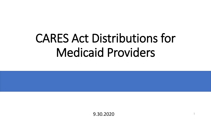# CARES Act Distributions for Medicaid Providers

9.30.2020 <sup>1</sup>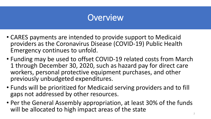# **Overview**

- CARES payments are intended to provide support to Medicaid providers as the Coronavirus Disease (COVID-19) Public Health Emergency continues to unfold.
- Funding may be used to offset COVID-19 related costs from March 1 through December 30, 2020, such as hazard pay for direct care workers, personal protective equipment purchases, and other previously unbudgeted expenditures.
- Funds will be prioritized for Medicaid serving providers and to fill gaps not addressed by other resources.
- Per the General Assembly appropriation, at least 30% of the funds will be allocated to high impact areas of the state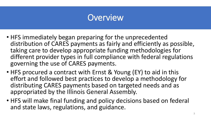# **Overview**

- HFS immediately began preparing for the unprecedented distribution of CARES payments as fairly and efficiently as possible, taking care to develop appropriate funding methodologies for different provider types in full compliance with federal regulations governing the use of CARES payments.
- HFS procured a contract with Ernst & Young (EY) to aid in this effort and followed best practices to develop a methodology for distributing CARES payments based on targeted needs and as appropriated by the Illinois General Assembly.
- HFS will make final funding and policy decisions based on federal and state laws, regulations, and guidance.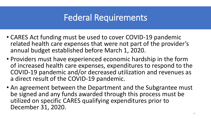# Federal Requirements

- CARES Act funding must be used to cover COVID-19 pandemic related health care expenses that were not part of the provider's annual budget established before March 1, 2020.
- Providers must have experienced economic hardship in the form of increased health care expenses, expenditures to respond to the COVID-19 pandemic and/or decreased utilization and revenues as a direct result of the COVID-19 pandemic.
- An agreement between the Department and the Subgrantee must be signed and any funds awarded through this process must be utilized on specific CARES qualifying expenditures prior to December 31, 2020.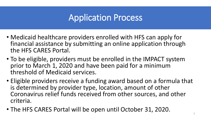# Application Process

- Medicaid healthcare providers enrolled with HFS can apply for financial assistance by submitting an online application through the HFS CARES Portal.
- To be eligible, providers must be enrolled in the IMPACT system prior to March 1, 2020 and have been paid for a minimum threshold of Medicaid services.
- Eligible providers receive a funding award based on a formula that is determined by provider type, location, amount of other Coronavirus relief funds received from other sources, and other criteria.
- The HFS CARES Portal will be open until October 31, 2020.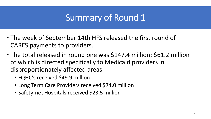# Summary of Round 1

- The week of September 14th HFS released the first round of CARES payments to providers.
- The total released in round one was \$147.4 million; \$61.2 million of which is directed specifically to Medicaid providers in disproportionately affected areas.
	- FQHC's received \$49.9 million
	- Long Term Care Providers received \$74.0 million
	- Safety-net Hospitals received \$23.5 million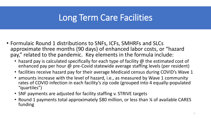# Long Term Care Facilities

- Formulaic Round 1 distributions to SNFs, ICFs, SMHRFs and SLCs approximate three months (90 days) of enhanced labor costs, or "hazard pay," related to the pandemic. Key elements in the formula include:
	- hazard pay is calculated specifically for each type of facility @ the estimated cost of enhanced pay per hour @ pre-Covid statewide average staffing levels (per resident)
	- facilities receive hazard pay for their average Medicaid census during COVID's Wave 1
	- amounts increase with the level of hazard, i.e., as measured by Wave 1 community rates of COVID infection in each facility's zip code (grouped into 4 equally-populated "quartiles")
	- SNF payments are adjusted for facility staffing v. STRIVE targets
	- Round 1 payments total approximately \$80 million, or less than 1/4 of available CARES funding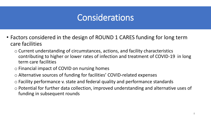# **Considerations**

- Factors considered in the design of ROUND 1 CARES funding for long term care facilities
	- o Current understanding of circumstances, actions, and facility characteristics contributing to higher or lower rates of infection and treatment of COVID-19 in long term care facilities
	- o Financial impact of COVID on nursing homes
	- o Alternative sources of funding for facilities' COVID-related expenses
	- o Facility performance v. state and federal quality and performance standards
	- o Potential for further data collection, improved understanding and alternative uses of funding in subsequent rounds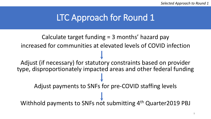### LTC Approach for Round 1

Calculate target funding = 3 months' hazard pay increased for communities at elevated levels of COVID infection Adjust (if necessary) for statutory constraints based on provider type, disproportionately impacted areas and other federal funding Adjust payments to SNFs for pre-COVID staffing levels Withhold payments to SNFs not submitting 4<sup>th</sup> Quarter2019 PBJ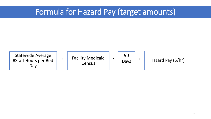#### Formula for Hazard Pay (target amounts)

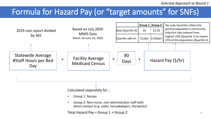#### Formula for Hazard Pay (or "target amounts" for SNFs)



Calculated separately for…

- Group 1: Nurses
- Group 2: Non-nurse, non-administrator staff with direct contact (e.g. aides, housekeepers, therapists)

Total Hazard Pay = Group  $1 +$  Group 2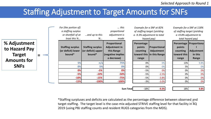#### Staffing Adjustment to Target Amounts for SNFs

|                                                                              | For (the portion of)<br>a staffing surplus<br>or shortfall of at<br>least this % | and up to this<br>$\%$                                  | this<br>proportional<br>adjustment is<br>made                                   |                                           | Example for a SNF at 82%<br>of staffing target (yielding<br>a -9.3% adjustment to total<br>hazard pay) |                                            | Example for a SNF at 118%<br>of staffing target (yielding<br>$a + 9.8\%$ adjustment to<br>total hazard pay) |  |
|------------------------------------------------------------------------------|----------------------------------------------------------------------------------|---------------------------------------------------------|---------------------------------------------------------------------------------|-------------------------------------------|--------------------------------------------------------------------------------------------------------|--------------------------------------------|-------------------------------------------------------------------------------------------------------------|--|
| % Adjustment<br>to Hazard Pay<br>Target<br><b>Amounts for</b><br><b>SNFs</b> | <b>Staffing surplus</b><br>(or deficit) lower<br>bound*                          | <b>Staffing surplus</b><br>(or deficit) upper<br>bound* | Proportional<br>Adjustment in<br>this Range<br>(negative implies<br>a decrease) | Percentage<br>points<br>counting<br>range | <b>Proportional</b><br>Adjustment<br>toward this  in this Range                                        | points<br>counting<br>toward this<br>range | Percentage Proportional<br>Adjustment<br>in this<br>Range                                                   |  |
|                                                                              | 5%<br>0%                                                                         | n/a<br>5%                                               | 75%<br>0%                                                                       | 0%<br>0%                                  | 0%<br>0%                                                                                               | 13%<br>5%                                  | 9.8%<br>0%                                                                                                  |  |
|                                                                              | 0%                                                                               | $-5%$                                                   | 0%                                                                              | $-5%$                                     | 0%                                                                                                     | 0%                                         | 0%                                                                                                          |  |
|                                                                              | $-5%$                                                                            | $-10%$                                                  | $-50%$                                                                          | $-5%$                                     | $-2.5%$                                                                                                | 0%                                         | 0%                                                                                                          |  |
|                                                                              | $-10%$                                                                           | $-15%$                                                  | $-75%$                                                                          | $-5%$                                     | $-3.8%$                                                                                                | 0%                                         | 0%                                                                                                          |  |
|                                                                              | $-15%$                                                                           | $-100%$                                                 | $-100%$                                                                         | $-3%$                                     | $-3.0%$                                                                                                | 0%                                         | 0%                                                                                                          |  |
|                                                                              |                                                                                  |                                                         | <b>Sum Total</b>                                                                | $-18%$                                    | $-9.3%$                                                                                                | 18%                                        | 9.8%                                                                                                        |  |

target staffing. The target level is the case-mix-adjusted STRIVE staffing level for that facility in <sup>12</sup>Q \*Staffing surpluses and deficits are calculated as the percentage difference between observed and 2019 (using PBJ staffing counts and resident RUGS categories from the MDS).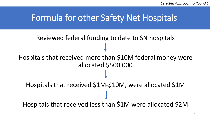#### Formula for other Safety Net Hospitals

# Reviewed federal funding to date to SN hospitals Hospitals that received more than \$10M federal money were allocated \$500,000 Hospitals that received \$1M-\$10M, were allocated \$1M Hospitals that received less than \$1M were allocated \$2M